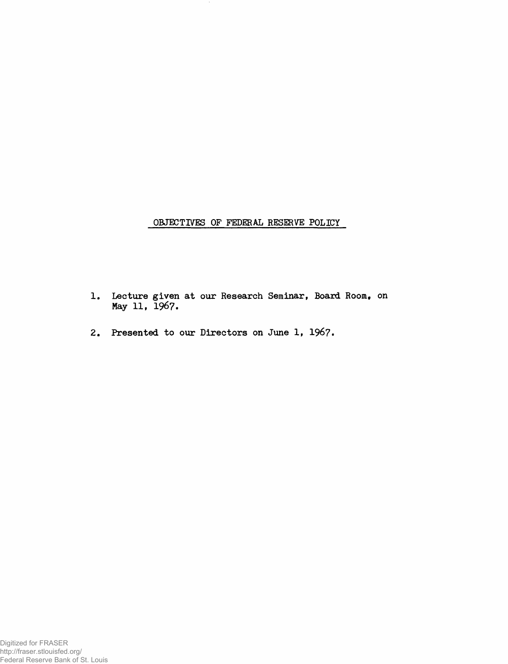**OBJECTIVES OF FEDERAL RESERVE POLICY**

- Lecture given at our Research Seminar, Board Room, **May 11, 1967.**
- **Presented to our Directors on June 1, 1967.**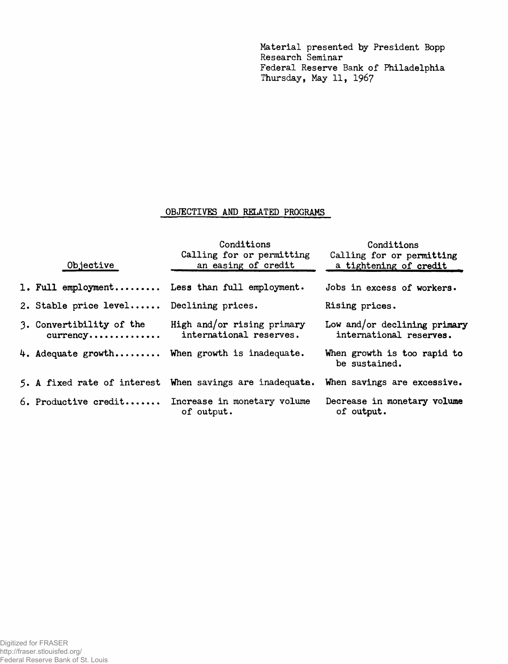**Material presented by President Bopp Research Seminar Federal Reserve Bank of Philadelphia Thursday, May 11, 1967**

## **OBJECTIVES AND RELATED PROGRAMS**

| Objective                                                   | Conditions<br>Calling for or permitting<br>an easing of credit                       | Conditions<br>Calling for or permitting<br>a tightening of credit |
|-------------------------------------------------------------|--------------------------------------------------------------------------------------|-------------------------------------------------------------------|
|                                                             | 1. Full employment Less than full employment.                                        | Jobs in excess of workers.                                        |
| 2. Stable price level Declining prices.                     |                                                                                      | Rising prices.                                                    |
| 3. Convertibility of the<br>$currency \ldots \ldots \ldots$ | High and/or rising primary<br>international reserves.                                | Low and/or declining primary<br>international reserves.           |
|                                                             | 4. Adequate growth When growth is inadequate.                                        | When growth is too rapid to<br>be sustained.                      |
|                                                             | 5. A fixed rate of interest When savings are inadequate. When savings are excessive. |                                                                   |
|                                                             | 6. Productive credit Increase in monetary volume<br>of output.                       | Decrease in monetary volume<br>of output.                         |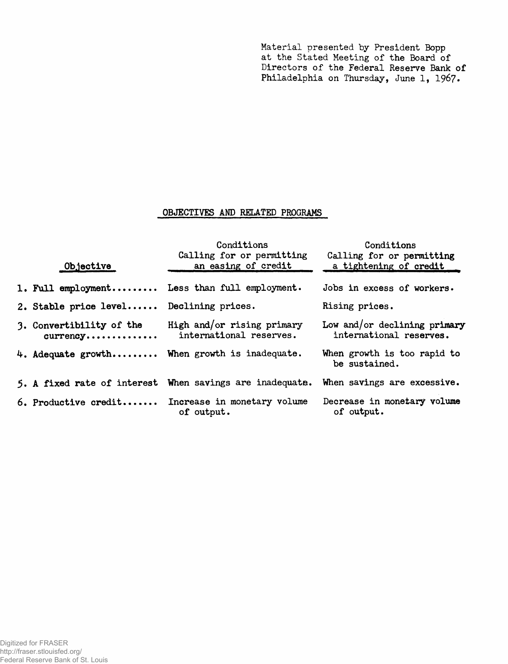**Material presented by President Bopp at the Stated Meeting of the Board of Directors of the Federal Reserve Bank of Philadelphia on Thursday, June 1, 1967»**

## **OBJECTIVES AND RELATED PROGRAMS**

| Objective                                                   | Conditions<br>Calling for or permitting<br>an easing of credit                             | Conditions<br>Calling for or permitting<br>a tightening of credit |
|-------------------------------------------------------------|--------------------------------------------------------------------------------------------|-------------------------------------------------------------------|
|                                                             | 1. Full employment Less than full employment.                                              | Jobs in excess of workers.                                        |
| 2. Stable price level Declining prices.                     |                                                                                            | Rising prices.                                                    |
| 3. Convertibility of the<br>$curreacy \ldots \ldots \ldots$ | High and/or rising primary<br>international reserves.                                      | Low and/or declining primary<br>international reserves.           |
|                                                             | 4. Adequate growth When growth is inadequate.                                              | When growth is too rapid to<br>be sustained.                      |
|                                                             | 5. A fixed rate of interest When savings are inadequate. When savings are excessive.       |                                                                   |
|                                                             | 6. Productive credit Increase in monetary volume Decrease in monetary volume<br>of output. | of output.                                                        |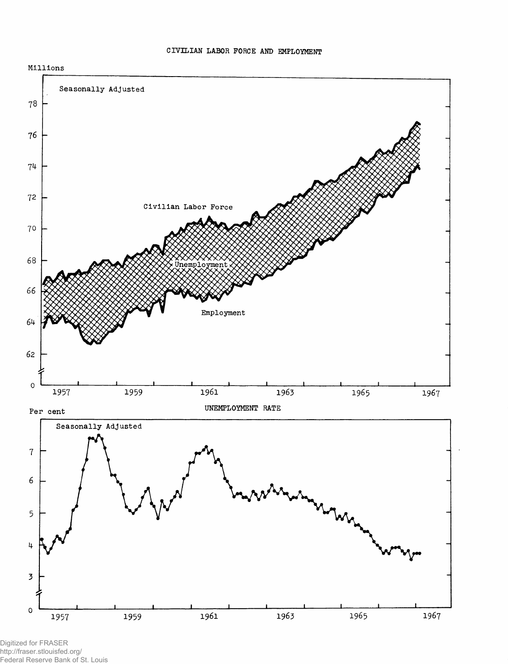

**CIVILIAN LABOR FORCE AND EMPLOYMENT**

Digitized for FRASER http://fraser.stlouisfed.org/ Federal Reserve Bank of St. Louis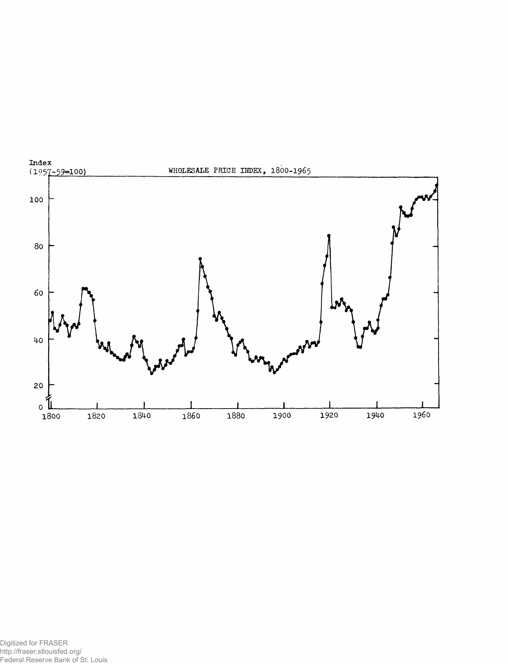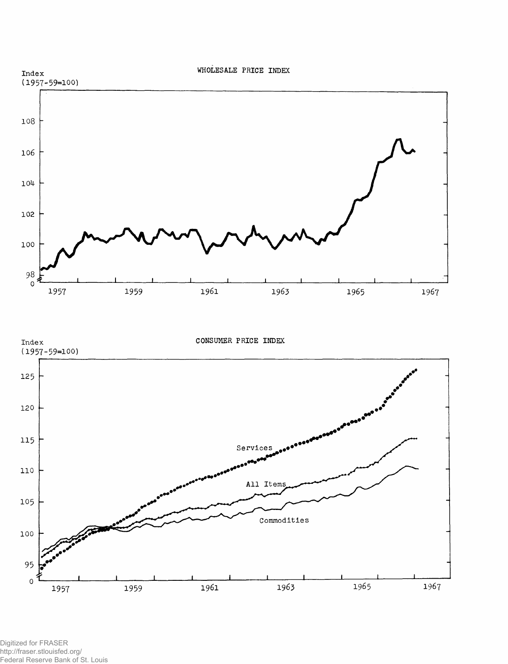

All Item

1961

 $\verb|Commodities|$ 

1963

1965

1967



1957

1959

105

100

95  $\circ$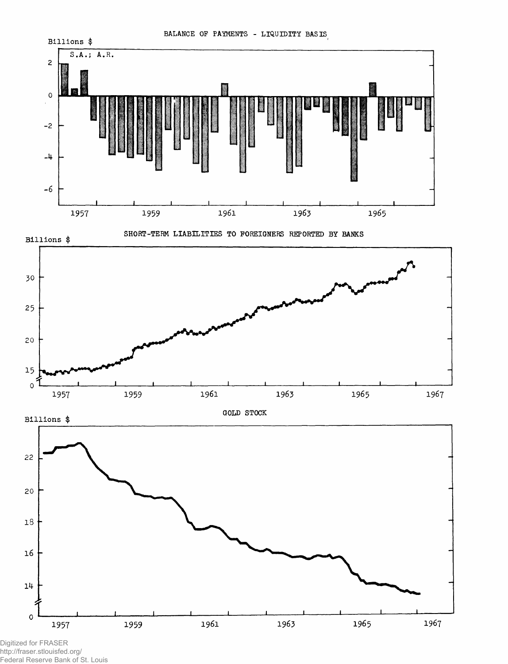

Digitized for FRASER http://fraser.stlouisfed.org/ Federal Reserve Bank of St. Louis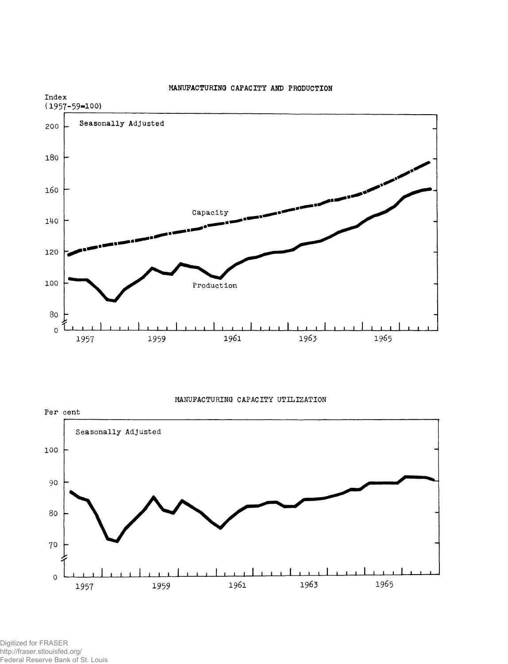

## **MANUFACTURING CAPACITY AND PRODUCTION**

**MANUFACTURING CAPACITY UTILIZATION**



Digitized for FRASER http://fraser.stlouisfed.org/ Federal Reserve Bank of St. Louis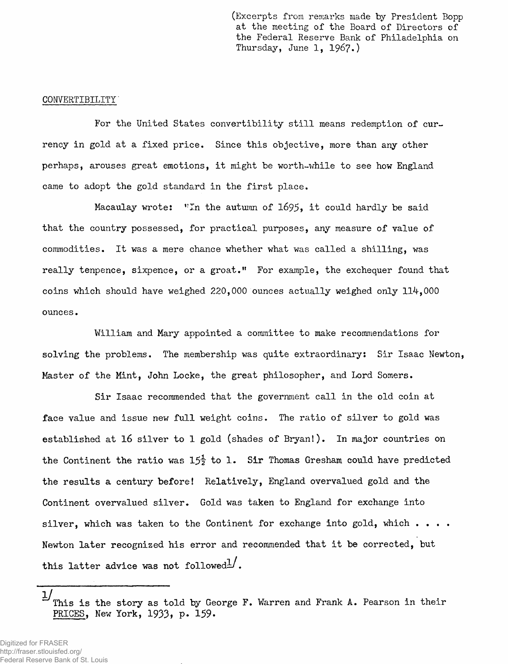**(Excerpts from remarks made by President Bopp at the meeting of the Board of Directors of the Federal Reserve Bank of Philadelphia on Thursday, June 1, 1967.)**

## **CONVERTIBILITY'**

**For the United States convertibility still means redemption of currency in gold at a fixed price. Since this objective, more than any other perhaps, arouses great emotions, it might be worth-while to see how England came to adopt the gold standard in the first place.**

Macaulay wrote: "In the autumn of 1695, it could hardly be said **that the country possessed, for practical purposes, any measure of value of commodities. It was a mere chance whether what was called a shilling, was really tenpence, sixpence, or a groat." For example, the exchequer found that coins which should have weighed** 220,000 **ounces actually weighed only** 11^,000 **ounces.**

**William and Mary appointed a committee to make recommendations for solving the problems. The membership was quite extraordinary: Sir Isaac Newton, Master of the Mint, John Locke, the great philosopher, and Lord Somers.**

**Sir Isaac recommended that the government call in the old coin at face value and issue new full weight coins. The ratio of silver to gold was established at 16 silver to 1 gold (shades of Bryan!). In major countries on** the Continent the ratio was 15<sup> $1$ </sup> to 1. Sir Thomas Gresham could have predicted **the results a century before! Relatively, England overvalued gold and the Continent overvalued silver. Gold was taken to England for exchange into silver, which was taken to the Continent for exchange into gold, which .... Newton later recognized his error and recommended that it be corrected, but** this latter advice was not followed<sup> $\frac{1}{2}$ </sup>.

**This is the story as told by George F. Warren and Frank A. Pearson in their PRICES, New York, 1933» P\* 159. 1/**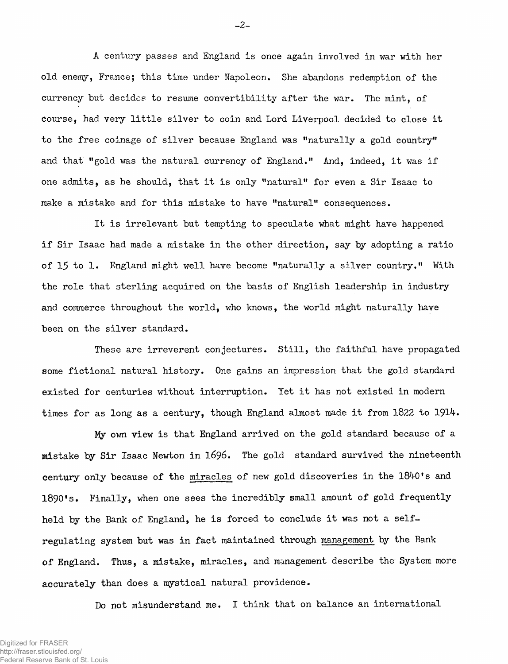**A century passes and England is once again involved in war with her old enemy, France; this time under Napoleon. She abandons redemption of the currency but decides to resume convertibility after the war. The mint, of course, had very little silver to coin and Lord Liverpool decided to close it to the free coinage of silver because England was "naturally a gold country" and that "gold was the natural currency of England." And, indeed, it was if one admits, as he should, that it is only "natural" for even a Sir Isaac to make a mistake and for this mistake to have "natural" consequences.**

**It is irrelevant but tempting to speculate what might have happened if Sir Isaac had made a mistake in the other direction, say by adopting a ratio of 15 to 1. England might well have become "naturally a silver country." With the role that sterling acquired on the basis of English leadership in industry and commerce throughout the world, who knows, the world might naturally have been on the silver standard.**

**These are irreverent conjectures. Still, the faithful have propagated some fictional natural history. One gains an impression that the gold standard existed for centuries without interruption. Yet it has not existed in modern** times for as long as a century, though England almost made it from 1822 to 1914.

**My own view is that England arrived on the gold standard because of a mistake by Sir Isaac Newton in 1696. The gold standard survived the nineteenth century only because of the miracles of new gold discoveries in the 18^0\* s and 1890's. Finally, when one sees the incredibly small amount of gold frequently held by the Bank of England, he is forced to conclude it was not a selfregulating system but was in fact maintained through management by the Bank of England. Thus, a mistake, miracles, and management describe the System more accurately than does a mystical natural providence.**

**Do not misunderstand me. I think that on balance an international**

 $-2-$